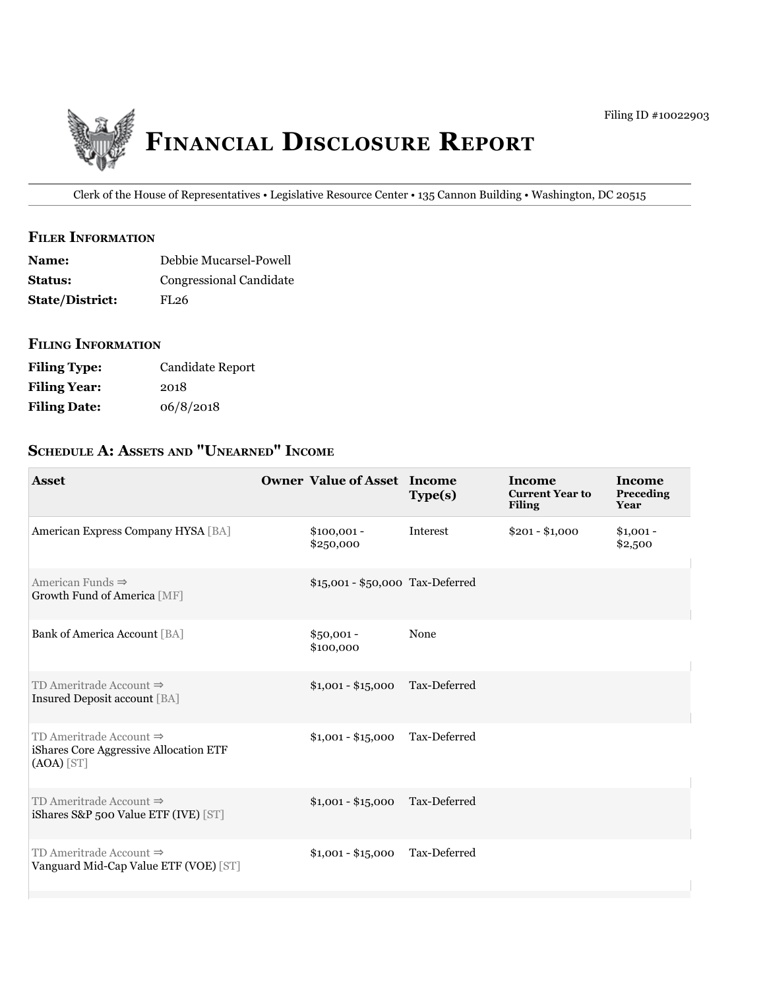

Clerk of the House of Representatives • Legislative Resource Center • 135 Cannon Building • Washington, DC 20515

### **filer information**

| <b>Name:</b>           | Debbie Mucarsel-Powell  |
|------------------------|-------------------------|
| <b>Status:</b>         | Congressional Candidate |
| <b>State/District:</b> | FL <sub>26</sub>        |

#### **filing information**

| <b>Filing Type:</b> | Candidate Report |
|---------------------|------------------|
| <b>Filing Year:</b> | 2018             |
| <b>Filing Date:</b> | 06/8/2018        |

# **ScheDule a: aSSetS anD "unearneD" income**

| <b>Asset</b>                                                                                  | <b>Owner Value of Asset Income</b> | Type(s)      | Income<br><b>Current Year to</b><br><b>Filing</b> | Income<br>Preceding<br>Year |
|-----------------------------------------------------------------------------------------------|------------------------------------|--------------|---------------------------------------------------|-----------------------------|
| American Express Company HYSA [BA]                                                            | $$100,001 -$<br>\$250,000          | Interest     | $$201 - $1,000$                                   | $$1,001 -$<br>\$2,500       |
| American Funds $\Rightarrow$<br>Growth Fund of America [MF]                                   | \$15,001 - \$50,000 Tax-Deferred   |              |                                                   |                             |
| Bank of America Account [BA]                                                                  | $$50,001 -$<br>\$100,000           | None         |                                                   |                             |
| TD Ameritrade Account $\Rightarrow$<br>Insured Deposit account [BA]                           | $$1,001 - $15,000$                 | Tax-Deferred |                                                   |                             |
| TD Ameritrade Account $\Rightarrow$<br>iShares Core Aggressive Allocation ETF<br>$(AOA)$ [ST] | $$1,001 - $15,000$                 | Tax-Deferred |                                                   |                             |
| TD Ameritrade Account $\Rightarrow$<br>iShares S&P 500 Value ETF (IVE) [ST]                   | $$1,001 - $15,000$                 | Tax-Deferred |                                                   |                             |
| TD Ameritrade Account $\Rightarrow$<br>Vanguard Mid-Cap Value ETF (VOE) [ST]                  | $$1,001 - $15,000$                 | Tax-Deferred |                                                   |                             |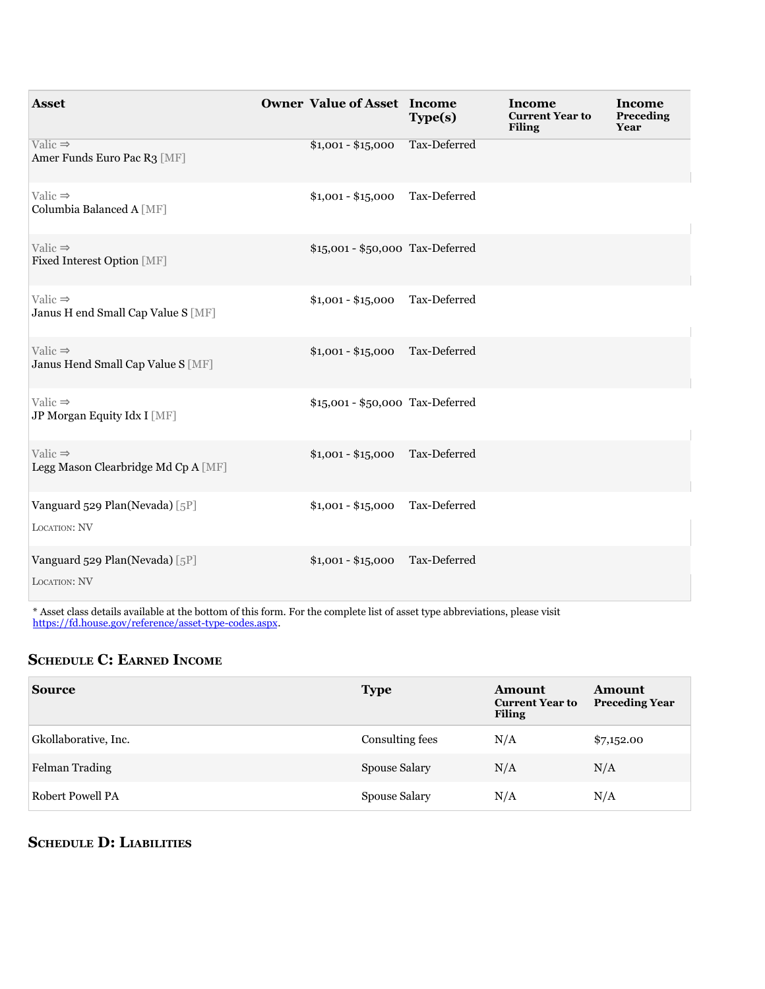| <b>Asset</b>                                               | <b>Owner Value of Asset Income</b> |                    | Type(s)                          | Income<br><b>Current Year to</b><br><b>Filing</b> | Income<br>Preceding<br>Year |
|------------------------------------------------------------|------------------------------------|--------------------|----------------------------------|---------------------------------------------------|-----------------------------|
| Valic $\Rightarrow$<br>Amer Funds Euro Pac R3 [MF]         |                                    | $$1,001 - $15,000$ | Tax-Deferred                     |                                                   |                             |
| Valic $\Rightarrow$<br>Columbia Balanced A [MF]            |                                    | $$1,001 - $15,000$ | Tax-Deferred                     |                                                   |                             |
| Valic $\Rightarrow$<br>Fixed Interest Option [MF]          |                                    |                    | \$15,001 - \$50,000 Tax-Deferred |                                                   |                             |
| Valic $\Rightarrow$<br>Janus H end Small Cap Value S [MF]  |                                    | $$1,001 - $15,000$ | Tax-Deferred                     |                                                   |                             |
| Valic $\Rightarrow$<br>Janus Hend Small Cap Value S [MF]   |                                    | $$1,001 - $15,000$ | Tax-Deferred                     |                                                   |                             |
| Valic $\Rightarrow$<br>JP Morgan Equity Idx I [MF]         |                                    |                    | \$15,001 - \$50,000 Tax-Deferred |                                                   |                             |
| Valic $\Rightarrow$<br>Legg Mason Clearbridge Md Cp A [MF] |                                    | $$1,001 - $15,000$ | Tax-Deferred                     |                                                   |                             |
| Vanguard 529 Plan(Nevada) [5P]<br>LOCATION: NV             |                                    | $$1,001 - $15,000$ | Tax-Deferred                     |                                                   |                             |
| Vanguard 529 Plan(Nevada) [5P]<br>LOCATION: NV             |                                    | $$1,001 - $15,000$ | Tax-Deferred                     |                                                   |                             |

\* Asset class details available at the bottom of this form. For the complete list of asset type abbreviations, please visit [https://fd.house.gov/reference/asset-type-codes.aspx.](https://fd.house.gov/reference/asset-type-codes.aspx)

## **ScheDule c: earneD income**

| <b>Source</b>        | <b>Type</b>     | <b>Amount</b><br><b>Current Year to</b><br><b>Filing</b> | Amount<br><b>Preceding Year</b> |
|----------------------|-----------------|----------------------------------------------------------|---------------------------------|
| Gkollaborative, Inc. | Consulting fees | N/A                                                      | \$7,152.00                      |
| Felman Trading       | Spouse Salary   | N/A                                                      | N/A                             |
| Robert Powell PA     | Spouse Salary   | N/A                                                      | N/A                             |

## **ScheDule D: liaBilitieS**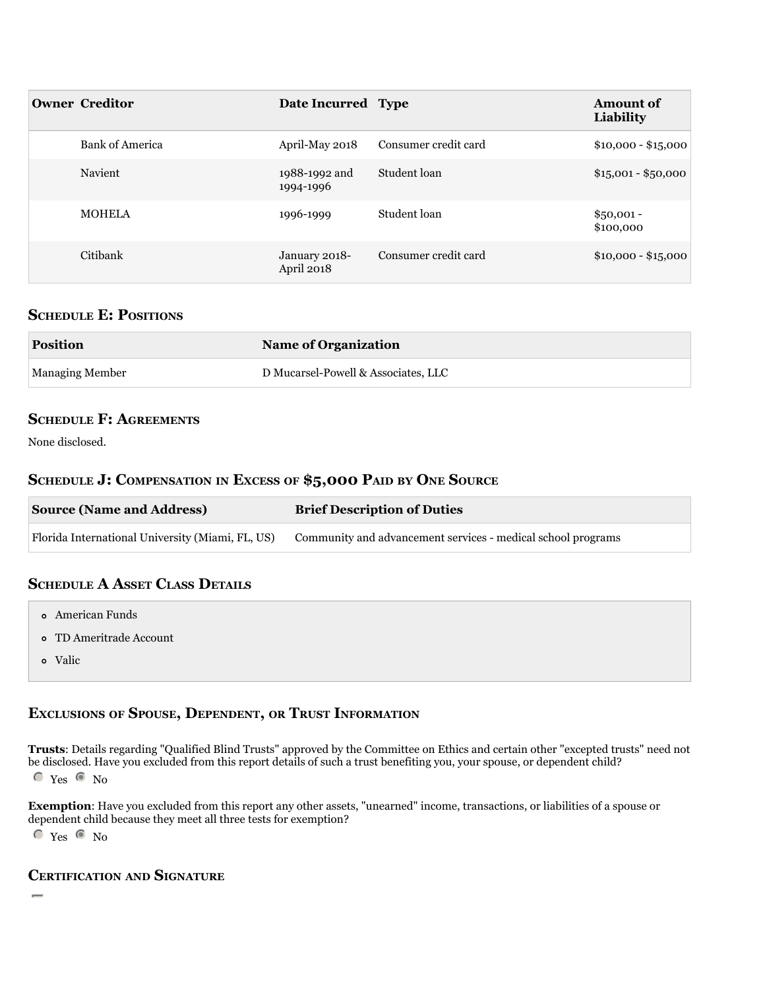| <b>Owner Creditor</b>  | Date Incurred Type          |                      | <b>Amount of</b><br>Liability |
|------------------------|-----------------------------|----------------------|-------------------------------|
| <b>Bank of America</b> | April-May 2018              | Consumer credit card | $$10,000 - $15,000$           |
| Navient                | 1988-1992 and<br>1994-1996  | Student loan         | $$15,001 - $50,000$           |
| <b>MOHELA</b>          | 1996-1999                   | Student loan         | $$50,001 -$<br>\$100,000      |
| Citibank               | January 2018-<br>April 2018 | Consumer credit card | $$10,000 - $15,000$           |

#### **SCHEDULE E: POSITIONS**

| <b>Position</b> | <b>Name of Organization</b>         |  |
|-----------------|-------------------------------------|--|
| Managing Member | D Mucarsel-Powell & Associates, LLC |  |

### **ScheDule f: agreementS**

None disclosed.

#### **ScheDule J: compenSation in exceSS of \$5,000 paiD By one Source**

| <b>Source (Name and Address)</b>                 | <b>Brief Description of Duties</b>                           |
|--------------------------------------------------|--------------------------------------------------------------|
| Florida International University (Miami, FL, US) | Community and advancement services - medical school programs |

### **ScheDule a aSSet claSS DetailS**

- American Funds
- TD Ameritrade Account
- Valic **Valich Community of the Community** Service Community of the Community of the Community of the Community of the Community of the Community of the Community of the Community of the Community of the Community of the Co

### **excluSionS of SpouSe, DepenDent, or truSt information**

**trusts**: Details regarding "Qualified Blind Trusts" approved by the Committee on Ethics and certain other "excepted trusts" need not be disclosed. Have you excluded from this report details of such a trust benefiting you, your spouse, or dependent child?  $C$  Yes  $C$  No

**exemption**: Have you excluded from this report any other assets, "unearned" income, transactions, or liabilities of a spouse or dependent child because they meet all three tests for exemption?

 $C$  Yes  $C$  No

## **certification anD Signature**

gfed $\Gamma$  is that that that the statements I have made on the attached Financial Disclosure Report are true, complete, and complete, and complete, and correct to the attached Financial Disclosure Report are true, complete,